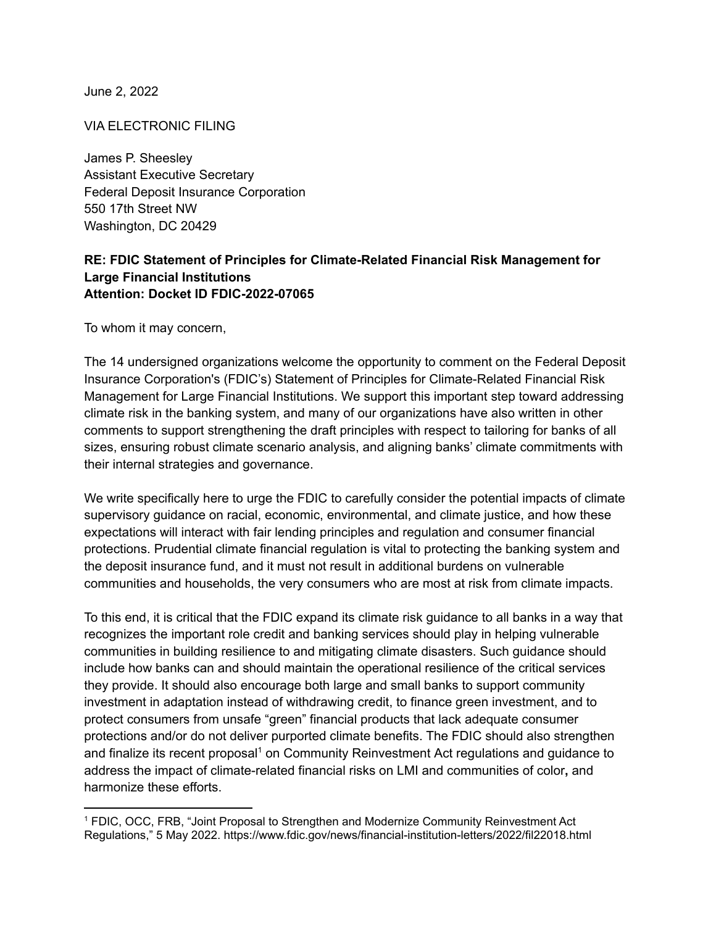June 2, 2022

VIA ELECTRONIC FILING

James P. Sheesley Assistant Executive Secretary Federal Deposit Insurance Corporation 550 17th Street NW Washington, DC 20429

#### **RE: FDIC Statement of Principles for Climate-Related Financial Risk Management for Large Financial Institutions Attention: Docket ID FDIC-2022-07065**

To whom it may concern,

The 14 undersigned organizations welcome the opportunity to comment on the Federal Deposit Insurance Corporation's (FDIC's) Statement of Principles for Climate-Related Financial Risk Management for Large Financial Institutions. We support this important step toward addressing climate risk in the banking system, and many of our organizations have also written in other comments to support strengthening the draft principles with respect to tailoring for banks of all sizes, ensuring robust climate scenario analysis, and aligning banks' climate commitments with their internal strategies and governance.

We write specifically here to urge the FDIC to carefully consider the potential impacts of climate supervisory guidance on racial, economic, environmental, and climate justice, and how these expectations will interact with fair lending principles and regulation and consumer financial protections. Prudential climate financial regulation is vital to protecting the banking system and the deposit insurance fund, and it must not result in additional burdens on vulnerable communities and households, the very consumers who are most at risk from climate impacts.

To this end, it is critical that the FDIC expand its climate risk guidance to all banks in a way that recognizes the important role credit and banking services should play in helping vulnerable communities in building resilience to and mitigating climate disasters. Such guidance should include how banks can and should maintain the operational resilience of the critical services they provide. It should also encourage both large and small banks to support community investment in adaptation instead of withdrawing credit, to finance green investment, and to protect consumers from unsafe "green" financial products that lack adequate consumer protections and/or do not deliver purported climate benefits. The FDIC should also strengthen and finalize its recent proposal<sup>1</sup> on Community Reinvestment Act regulations and guidance to address the impact of climate-related financial risks on LMI and communities of color**,** and harmonize these efforts.

<sup>1</sup> FDIC, OCC, FRB, "Joint Proposal to Strengthen and Modernize Community Reinvestment Act Regulations," 5 May 2022. https://www.fdic.gov/news/financial-institution-letters/2022/fil22018.html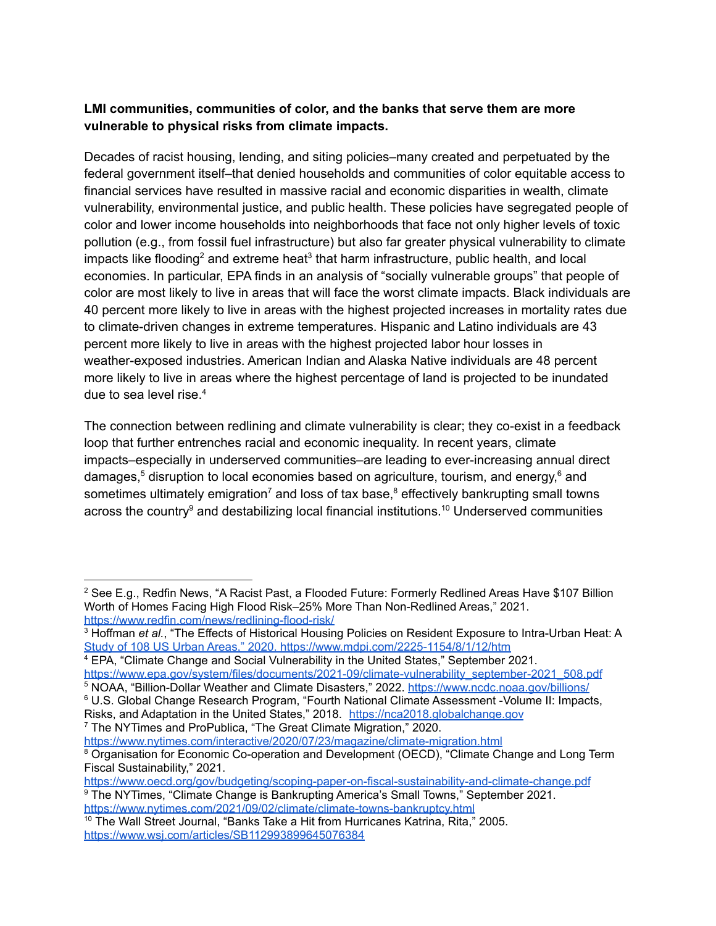# **LMI communities, communities of color, and the banks that serve them are more vulnerable to physical risks from climate impacts.**

Decades of racist housing, lending, and siting policies–many created and perpetuated by the federal government itself–that denied households and communities of color equitable access to financial services have resulted in massive racial and economic disparities in wealth, climate vulnerability, environmental justice, and public health. These policies have segregated people of color and lower income households into neighborhoods that face not only higher levels of toxic pollution (e.g., from fossil fuel infrastructure) but also far greater physical vulnerability to climate impacts like flooding<sup>2</sup> and extreme heat<sup>3</sup> that harm infrastructure, public health, and local economies. In particular, EPA finds in an analysis of "socially vulnerable groups" that people of color are most likely to live in areas that will face the worst climate impacts. Black individuals are 40 percent more likely to live in areas with the highest projected increases in mortality rates due to climate-driven changes in extreme temperatures. Hispanic and Latino individuals are 43 percent more likely to live in areas with the highest projected labor hour losses in weather-exposed industries. American Indian and Alaska Native individuals are 48 percent more likely to live in areas where the highest percentage of land is projected to be inundated due to sea level rise. 4

The connection between redlining and climate vulnerability is clear; they co-exist in a feedback loop that further entrenches racial and economic inequality. In recent years, climate impacts–especially in underserved communities–are leading to ever-increasing annual direct damages, <sup>5</sup> disruption to local economies based on agriculture, tourism, and energy, <sup>6</sup> and sometimes ultimately emigration<sup>7</sup> and loss of tax base,<sup>8</sup> effectively bankrupting small towns across the country<sup>9</sup> and destabilizing local financial institutions.<sup>10</sup> Underserved communities

<sup>7</sup> The NYTimes and ProPublica, "The Great Climate Migration," 2020.

<https://www.nytimes.com/2021/09/02/climate/climate-towns-bankruptcy.html>

<sup>&</sup>lt;sup>2</sup> See E.g., Redfin News, "A Racist Past, a Flooded Future: Formerly Redlined Areas Have \$107 Billion Worth of Homes Facing High Flood Risk–25% More Than Non-Redlined Areas," 2021. https://www.redfin.com/news/redlining-flood-risk/

<sup>3</sup> Hoffman *et al.*, "The Effects of Historical Housing Policies on Resident Exposure to Intra-Urban Heat: A Study of 108 US Urban Areas," 2020. https://www.mdpi.com/2225-1154/8/1/12/htm

<sup>4</sup> EPA, "Climate Change and Social Vulnerability in the United States," September 2021. [https://www.epa.gov/system/files/documents/2021-09/climate-vulnerability\\_september-2021\\_508.pdf](https://www.epa.gov/system/files/documents/2021-09/climate-vulnerability_september-2021_508.pdf)

<sup>5</sup> NOAA, "Billion-Dollar Weather and Climate Disasters," 2022. <https://www.ncdc.noaa.gov/billions/>

<sup>6</sup> U.S. Global Change Research Program, "Fourth National Climate Assessment -Volume II: Impacts, Risks, and Adaptation in the United States," 2018. <https://nca2018.globalchange.gov>

<sup>&</sup>lt;sup>8</sup> Organisation for Economic Co-operation and Development (OECD), "Climate Change and Long Term <https://www.nytimes.com/interactive/2020/07/23/magazine/climate-migration.html>

Fiscal Sustainability," 2021.

<sup>&</sup>lt;sup>9</sup> The NYTimes, "Climate Change is Bankrupting America's Small Towns," September 2021. <https://www.oecd.org/gov/budgeting/scoping-paper-on-fiscal-sustainability-and-climate-change.pdf>

<sup>10</sup> The Wall Street Journal, "Banks Take a Hit from Hurricanes Katrina, Rita," 2005. <https://www.wsj.com/articles/SB112993899645076384>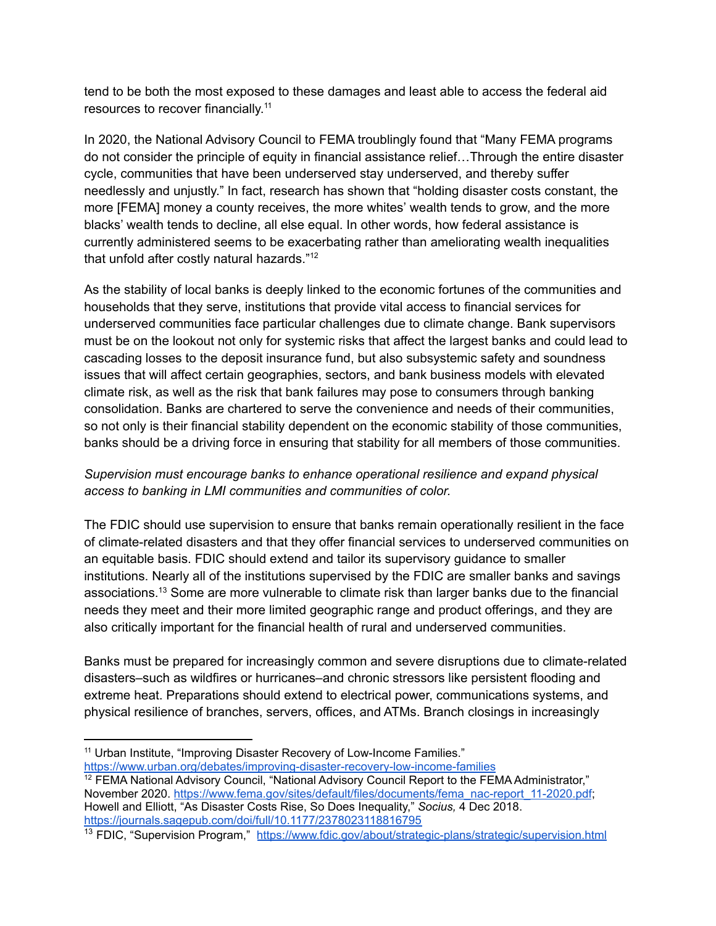tend to be both the most exposed to these damages and least able to access the federal aid resources to recover financially.<sup>11</sup>

In 2020, the National Advisory Council to FEMA troublingly found that "Many FEMA programs do not consider the principle of equity in financial assistance relief…Through the entire disaster cycle, communities that have been underserved stay underserved, and thereby suffer needlessly and unjustly." In fact, research has shown that "holding disaster costs constant, the more [FEMA] money a county receives, the more whites' wealth tends to grow, and the more blacks' wealth tends to decline, all else equal. In other words, how federal assistance is currently administered seems to be exacerbating rather than ameliorating wealth inequalities that unfold after costly natural hazards."<sup>12</sup>

As the stability of local banks is deeply linked to the economic fortunes of the communities and households that they serve, institutions that provide vital access to financial services for underserved communities face particular challenges due to climate change. Bank supervisors must be on the lookout not only for systemic risks that affect the largest banks and could lead to cascading losses to the deposit insurance fund, but also subsystemic safety and soundness issues that will affect certain geographies, sectors, and bank business models with elevated climate risk, as well as the risk that bank failures may pose to consumers through banking consolidation. Banks are chartered to serve the convenience and needs of their communities, so not only is their financial stability dependent on the economic stability of those communities, banks should be a driving force in ensuring that stability for all members of those communities.

# *Supervision must encourage banks to enhance operational resilience and expand physical access to banking in LMI communities and communities of color.*

The FDIC should use supervision to ensure that banks remain operationally resilient in the face of climate-related disasters and that they offer financial services to underserved communities on an equitable basis. FDIC should extend and tailor its supervisory guidance to smaller institutions. Nearly all of the institutions supervised by the FDIC are smaller banks and savings associations.<sup>13</sup> Some are more vulnerable to climate risk than larger banks due to the financial needs they meet and their more limited geographic range and product offerings, and they are also critically important for the financial health of rural and underserved communities.

Banks must be prepared for increasingly common and severe disruptions due to climate-related disasters–such as wildfires or hurricanes–and chronic stressors like persistent flooding and extreme heat. Preparations should extend to electrical power, communications systems, and physical resilience of branches, servers, offices, and ATMs. Branch closings in increasingly

<sup>&</sup>lt;sup>11</sup> Urban Institute, "Improving Disaster Recovery of Low-Income Families." <https://www.urban.org/debates/improving-disaster-recovery-low-income-families>

<sup>&</sup>lt;sup>12</sup> FEMA National Advisory Council, "National Advisory Council Report to the FEMA Administrator," November 2020. [https://www.fema.gov/sites/default/files/documents/fema\\_nac-report\\_11-2020.pdf](https://www.fema.gov/sites/default/files/documents/fema_nac-report_11-2020.pdf); Howell and Elliott, "As Disaster Costs Rise, So Does Inequality," *Socius,* 4 Dec 2018. <https://journals.sagepub.com/doi/full/10.1177/2378023118816795>

<sup>&</sup>lt;sup>13</sup> FDIC, "Supervision Program," <https://www.fdic.gov/about/strategic-plans/strategic/supervision.html>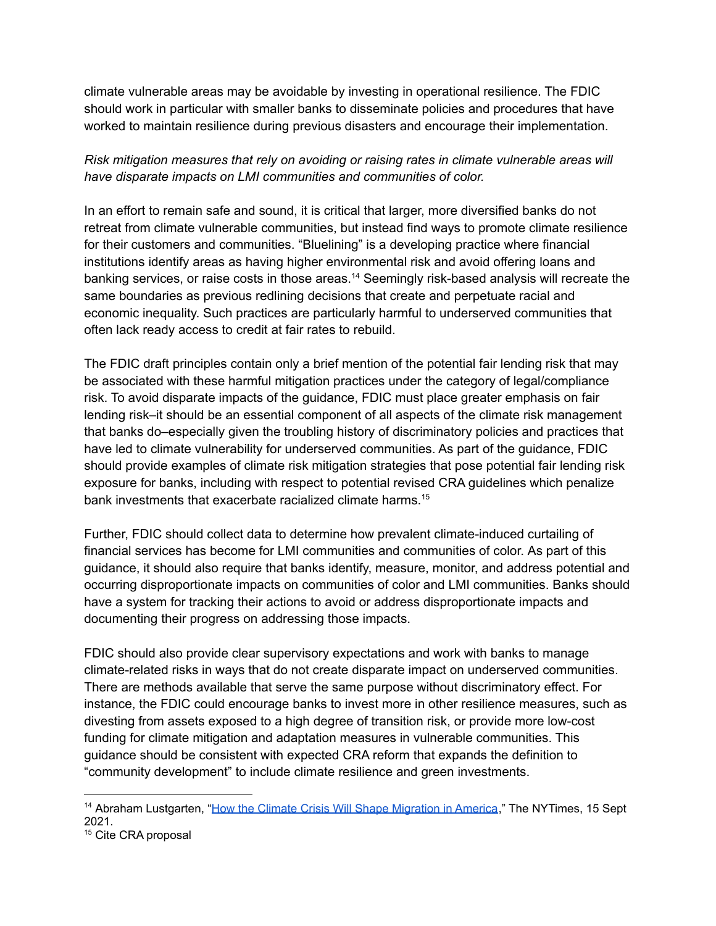climate vulnerable areas may be avoidable by investing in operational resilience. The FDIC should work in particular with smaller banks to disseminate policies and procedures that have worked to maintain resilience during previous disasters and encourage their implementation.

# *Risk mitigation measures that rely on avoiding or raising rates in climate vulnerable areas will have disparate impacts on LMI communities and communities of color.*

In an effort to remain safe and sound, it is critical that larger, more diversified banks do not retreat from climate vulnerable communities, but instead find ways to promote climate resilience for their customers and communities. "Bluelining" is a developing practice where financial institutions identify areas as having higher environmental risk and avoid offering loans and banking services, or raise costs in those areas. <sup>14</sup> Seemingly risk-based analysis will recreate the same boundaries as previous redlining decisions that create and perpetuate racial and economic inequality. Such practices are particularly harmful to underserved communities that often lack ready access to credit at fair rates to rebuild.

The FDIC draft principles contain only a brief mention of the potential fair lending risk that may be associated with these harmful mitigation practices under the category of legal/compliance risk. To avoid disparate impacts of the guidance, FDIC must place greater emphasis on fair lending risk–it should be an essential component of all aspects of the climate risk management that banks do–especially given the troubling history of discriminatory policies and practices that have led to climate vulnerability for underserved communities. As part of the guidance, FDIC should provide examples of climate risk mitigation strategies that pose potential fair lending risk exposure for banks, including with respect to potential revised CRA guidelines which penalize bank investments that exacerbate racialized climate harms. 15

Further, FDIC should collect data to determine how prevalent climate-induced curtailing of financial services has become for LMI communities and communities of color. As part of this guidance, it should also require that banks identify, measure, monitor, and address potential and occurring disproportionate impacts on communities of color and LMI communities. Banks should have a system for tracking their actions to avoid or address disproportionate impacts and documenting their progress on addressing those impacts.

FDIC should also provide clear supervisory expectations and work with banks to manage climate-related risks in ways that do not create disparate impact on underserved communities. There are methods available that serve the same purpose without discriminatory effect. For instance, the FDIC could encourage banks to invest more in other resilience measures, such as divesting from assets exposed to a high degree of transition risk, or provide more low-cost funding for climate mitigation and adaptation measures in vulnerable communities. This guidance should be consistent with expected CRA reform that expands the definition to "community development" to include climate resilience and green investments.

<sup>&</sup>lt;sup>14</sup> Abraham Lustgarten, "How the Climate Crisis Will Shape [Migration](https://www.nytimes.com/interactive/2020/09/15/magazine/climate-crisis-migration-america.html?action=click&module=RelatedLinks&pgtype=Article) in America," The NYTimes, 15 Sept 2021.

<sup>&</sup>lt;sup>15</sup> Cite CRA proposal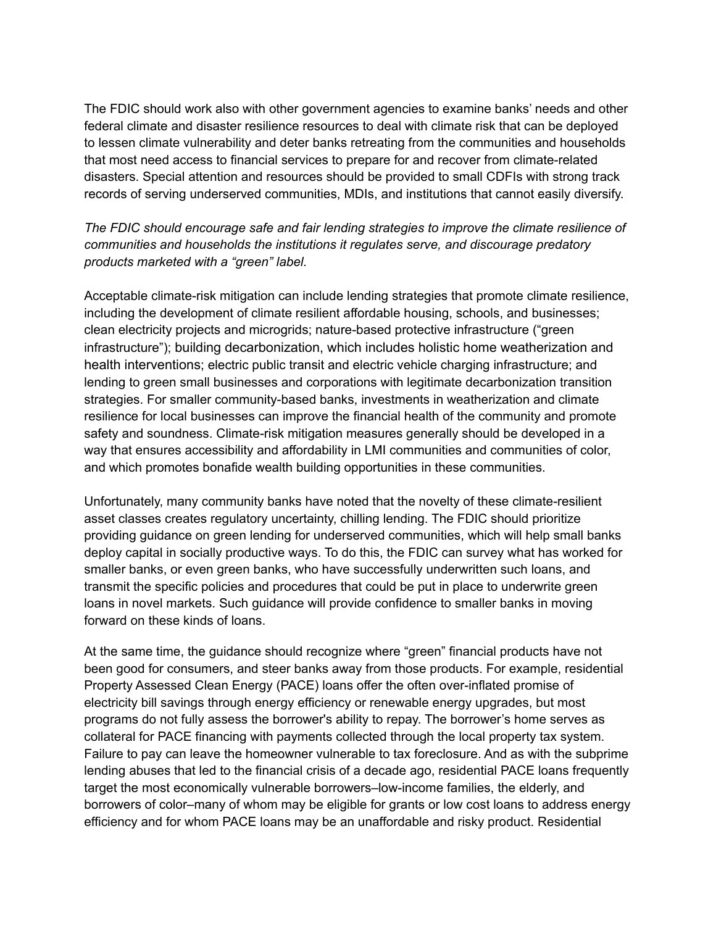The FDIC should work also with other government agencies to examine banks' needs and other federal climate and disaster resilience resources to deal with climate risk that can be deployed to lessen climate vulnerability and deter banks retreating from the communities and households that most need access to financial services to prepare for and recover from climate-related disasters. Special attention and resources should be provided to small CDFIs with strong track records of serving underserved communities, MDIs, and institutions that cannot easily diversify.

# *The FDIC should encourage safe and fair lending strategies to improve the climate resilience of communities and households the institutions it regulates serve, and discourage predatory products marketed with a "green" label.*

Acceptable climate-risk mitigation can include lending strategies that promote climate resilience, including the development of climate resilient affordable housing, schools, and businesses; clean electricity projects and microgrids; nature-based protective infrastructure ("green infrastructure"); building decarbonization, which includes holistic home weatherization and health interventions; electric public transit and electric vehicle charging infrastructure; and lending to green small businesses and corporations with legitimate decarbonization transition strategies. For smaller community-based banks, investments in weatherization and climate resilience for local businesses can improve the financial health of the community and promote safety and soundness. Climate-risk mitigation measures generally should be developed in a way that ensures accessibility and affordability in LMI communities and communities of color, and which promotes bonafide wealth building opportunities in these communities.

Unfortunately, many community banks have noted that the novelty of these climate-resilient asset classes creates regulatory uncertainty, chilling lending. The FDIC should prioritize providing guidance on green lending for underserved communities, which will help small banks deploy capital in socially productive ways. To do this, the FDIC can survey what has worked for smaller banks, or even green banks, who have successfully underwritten such loans, and transmit the specific policies and procedures that could be put in place to underwrite green loans in novel markets. Such guidance will provide confidence to smaller banks in moving forward on these kinds of loans.

At the same time, the guidance should recognize where "green" financial products have not been good for consumers, and steer banks away from those products. For example, residential Property Assessed Clean Energy (PACE) loans offer the often over-inflated promise of electricity bill savings through energy efficiency or renewable energy upgrades, but most programs do not fully assess the borrower's ability to repay. The borrower's home serves as collateral for PACE financing with payments collected through the local property tax system. Failure to pay can leave the homeowner vulnerable to tax foreclosure. And as with the subprime lending abuses that led to the financial crisis of a decade ago, residential PACE loans frequently target the most economically vulnerable borrowers–low-income families, the elderly, and borrowers of color–many of whom may be eligible for grants or low cost loans to address energy efficiency and for whom PACE loans may be an unaffordable and risky product. Residential